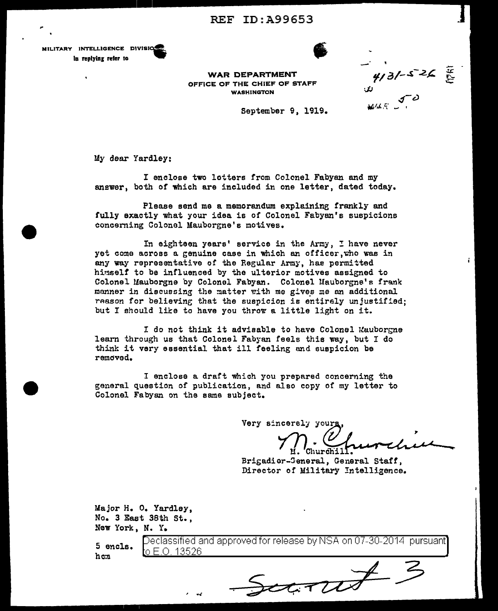**REF ID: A99653** 





**WAR DEPARTMENT** OFFICE OF THE CHIEF OF STAFF **WASHINGTON** 

 $4/3/-5$  26

医

September 9, 1919.

My dear Yardley:

I enclose two lotters from Colonel Fabyan and my answer, both of which are included in one letter, dated today.

Please send me a memorandum explaining frankly and fully exactly what your idea is of Colonel Fabyan's suspicions concerning Colonel Mauborgne's motives.

In eighteen years' service in the Army, I have never yet come across a genuine case in which an officer, who was in any way representative of the Regular Army, has permitted himself to be influenced by the ulterior motives assigned to Colonel Mauborgne by Colonel Fabyan. Colonel Mauborgne's frank manner in discussing the matter with me gives me an additional reason for believing that the suspicion is entirely unjustified; but I should like to have you throw a little light on it.

I do not think it advisable to have Colonel Mauborgne learn through us that Colonel Fabyan feels this way, but I do think it very essential that ill feeling and suspicion be removed.

I enclose a draft which you prepared concerning the general question of publication, and also copy of my letter to Colonel Fabyan on the same subject.

Very sincerely your

Brigadier-General, General Staff, Director of Military Intelligence.

 $34707$ 

Major H. O. Yardley, No. 3 East 38th St., New York, N. Y.

5 encls. h c:n

Declassified and approved for release by NSA on 07-30-2014 pursuant] o E.O. 13526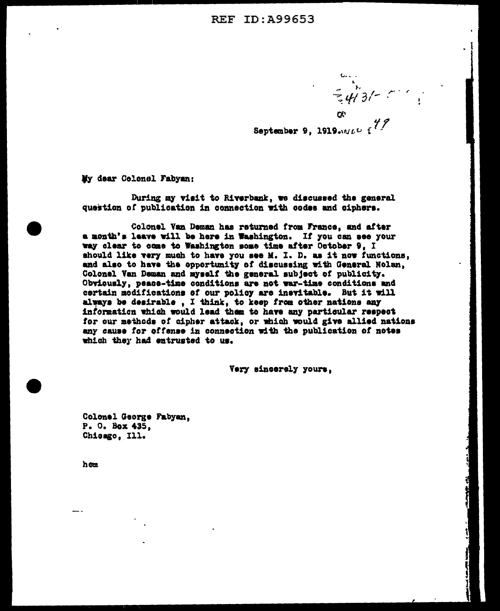September 9, 1919. $\omega$ <sup>2</sup>

 $=$   $\frac{1}{4}$  3/-

My dear Colonel Fabyan:

During my visit to Riverbank, we discussed the general question of publication in connection with codes and ciphers.

Colonel Van Deman has returned from France, and after a month's leave will be here in Washington. If you can see your way clear to come to Washington some time after October 9. I should like very much to have you see M. I. D. as it now functions. and also to have the opportunity of discussing with General Nolan. Colonel Van Deman and myself the general subject of publicity. Obviously, peace-time conditions are not war-time conditions and certain modifications of our policy are inevitable. But it will always be desirable, I think, to keep from other nations any information which would lead them to have any particular respect for our methods of cipher attack, or which would give allied nations any cause for offense in connection with the publication of notes which they had entrusted to us.

Very sincerely yours,

Colonel George Fabyan. P. O. Box 435. Chicago, Ill.

hon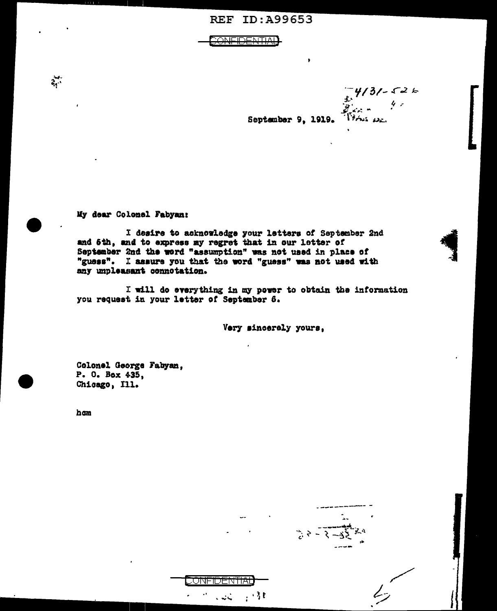**REF ID: A99653** 

<del>ONFIDENTIAL</del>

 $7/3/7 - 526$ September 9, 1919.

 $3 - 3 - 32$ 

My dear Colonel Fabyan:

I desire to acknowledge your letters of September 2nd and 6th, and to express my regret that in our letter of September 2nd the word "assumption" was not used in place of "guess". I assure you that the word "guess" was not used with any unpleasant connotation.

<del>ONFIDENTIAI</del>

المستان ا

 $\frac{1}{2}$  ,  $\frac{3}{2}$  f

I will do everything in my power to obtain the information you request in your letter of September 6.

Very sincerely yours,

Colonel George Fabyan, P. O. Box 435. Chicago, Ill.

ham

 $\frac{1}{2}$